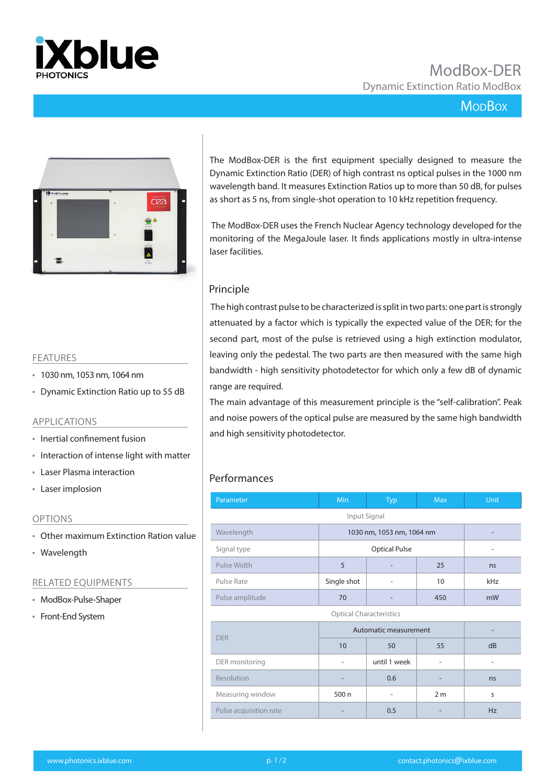

# ModBox-DER Dynamic Extinction Ratio ModBox

# **MopBox**



The ModBox-DER is the first equipment specially designed to measure the Dynamic Extinction Ratio (DER) of high contrast ns optical pulses in the 1000 nm wavelength band. It measures Extinction Ratios up to more than 50 dB, for pulses as short as 5 ns, from single-shot operation to 10 kHz repetition frequency.

 The ModBox-DER uses the French Nuclear Agency technology developed for the monitoring of the MegaJoule laser. It finds applications mostly in ultra-intense laser facilities.

## Principle

 The high contrast pulse to be characterized is split in two parts: one part is strongly attenuated by a factor which is typically the expected value of the DER; for the second part, most of the pulse is retrieved using a high extinction modulator, leaving only the pedestal. The two parts are then measured with the same high bandwidth - high sensitivity photodetector for which only a few dB of dynamic range are required.

The main advantage of this measurement principle is the "self-calibration". Peak and noise powers of the optical pulse are measured by the same high bandwidth and high sensitivity photodetector.

## Performances

| Parameter                      | <b>Min</b>                | <b>Typ</b> | <b>Max</b> | Unit |  |  |  |
|--------------------------------|---------------------------|------------|------------|------|--|--|--|
| Input Signal                   |                           |            |            |      |  |  |  |
| Wavelength                     | 1030 nm, 1053 nm, 1064 nm |            |            |      |  |  |  |
| Signal type                    | <b>Optical Pulse</b>      |            |            | ۰    |  |  |  |
| Pulse Width                    | 5                         |            | 25         | ns   |  |  |  |
| Pulse Rate                     | Single shot               |            | 10         | kHz  |  |  |  |
| Pulse amplitude                | 70                        |            | 450        | mW   |  |  |  |
| <b>Optical Characteristics</b> |                           |            |            |      |  |  |  |
| <b>DER</b>                     | Automatic measurement     |            |            |      |  |  |  |
|                                | 10                        | 50         | 55         | dB   |  |  |  |

| <b>DER</b>             | Automatic measurement |              |                |    |
|------------------------|-----------------------|--------------|----------------|----|
|                        | 10                    | 50           | 55             | dB |
| DER monitoring         |                       | until 1 week |                |    |
| Resolution             |                       | 0.6          |                | ns |
| Measuring window       | 500 n                 |              | 2 <sub>m</sub> |    |
| Pulse acquisition rate |                       | 0.5          |                | Hz |

#### FEATURES

- 1030 nm, 1053 nm, 1064 nm
- Dynamic Extinction Ratio up to 55 dB

#### APPLICATIONS

- Inertial confinement fusion
- Interaction of intense light with matter
- Laser Plasma interaction
- Laser implosion

#### OPTIONS

- Other maximum Extinction Ration value
- Wavelength

#### RELATED EQUIPMENTS

- ModBox-Pulse-Shaper
- Front-End System